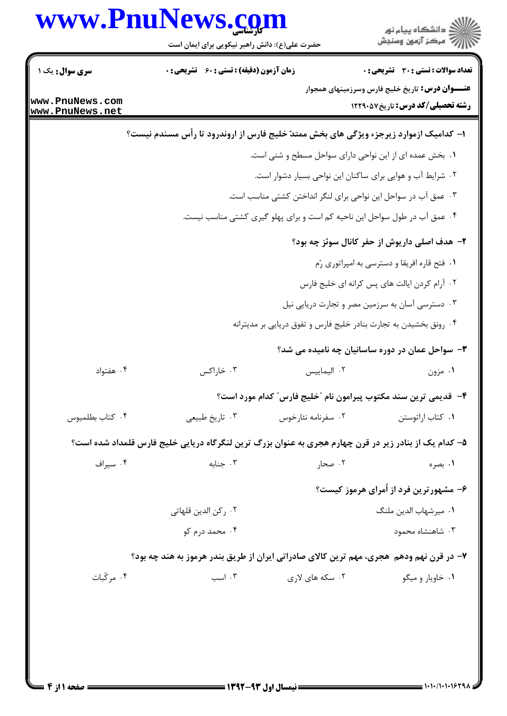|                                    | www.PnuNews.com<br>حضرت علی(ع): دانش راهبر نیکویی برای ایمان است                                      |                                                                           | ڪ دانشڪاه پيام نور<br>پ <sup>ر</sup> مرڪز آزمون وسنڊش                                             |
|------------------------------------|-------------------------------------------------------------------------------------------------------|---------------------------------------------------------------------------|---------------------------------------------------------------------------------------------------|
| <b>سری سوال :</b> یک ۱             | <b>زمان آزمون (دقیقه) : تستی : 60 ٪ تشریحی : 0</b>                                                    |                                                                           | <b>تعداد سوالات : تستی : 30 ٪ تشریحی : 0</b>                                                      |
| www.PnuNews.com<br>www.PnuNews.net |                                                                                                       |                                                                           | <b>عنـــوان درس:</b> تاریخ خلیج فارس وسرزمینهای همجوار<br><b>رشته تحصیلی/کد درس:</b> تاریخ1۲۲۹۰۵۷ |
|                                    | ا– کدامیک ازموارد زیرجزء ویژگی های بخش ممتدّ خلیج فارس از اروندرود تا رأس مسندم نیست؟                 |                                                                           |                                                                                                   |
|                                    |                                                                                                       | ۰۱ بخش عمده ای از این نواحی دارای سواحل مسطح و شنی است.                   |                                                                                                   |
|                                    |                                                                                                       | ۰۲ شرایط آب و هوایی برای ساکنان این نواحی بسیار دشوار است.                |                                                                                                   |
|                                    |                                                                                                       | ۰۳ عمق آب در سواحل این نواحی برای لنگر انداختن کشتی مناسب است.            |                                                                                                   |
|                                    |                                                                                                       | ۰۴ عمق آب در طول سواحل این ناحیه کم است و برای پهلو گیری کشتی مناسب نیست. |                                                                                                   |
|                                    |                                                                                                       |                                                                           | ۲– هدف اصلی داریوش از حفر کانال سوئز چه بود؟                                                      |
|                                    |                                                                                                       |                                                                           | ۰۱ فتح قاره افریقا و دسترسی به امپراتوری رُم                                                      |
|                                    |                                                                                                       |                                                                           | ۰۲ آرام کردن ایالت های پس کرانه ای خلیج فارس                                                      |
|                                    |                                                                                                       |                                                                           | ۰۳ دسترسی آسان به سرزمین مصر و تجارت دریایی نیل                                                   |
|                                    |                                                                                                       | ۰۴ رونق بخشیدن به تجارت بنادر خلیج فارس و تفوق دریایی بر مدیترانه         |                                                                                                   |
|                                    |                                                                                                       |                                                                           | ۰۳ سواحل عمان در دوره ساسانیان چه نامیده می شد؟                                                   |
| ۰۴ هفتواد                          | ۰۳ خاراکس                                                                                             | ٠٢ اليماييس                                                               | ۰۱ مزون                                                                                           |
|                                    |                                                                                                       | ۴– قدیمی ترین سند مکتوب پیرامون نام ″خلیج فارس″ کدام مورد است؟            |                                                                                                   |
| ۰۴ كتاب بطلميوس                    | ۰۳ تاريخ طبيعي                                                                                        | ۰۲ سفرنامه نئارخوس                                                        | ۰۱ کتاب اراتوستن                                                                                  |
|                                    | ۵– کدام یک از بنادر زیر در قرن چهارم هجری به عنوان بزرگ ترین لنگرگاه دریایی خلیج فارس قلمداد شده است؟ |                                                                           |                                                                                                   |
| ۰۴ سیراف                           | ۰۳ جنابه                                                                                              | ۰۲ صحار                                                                   | ۰۱ بصره                                                                                           |
|                                    |                                                                                                       |                                                                           | ۶- مشهورترین فرد از اُمرای هرموز کیست؟                                                            |
|                                    | ۰۲ رکن الدین قلهاتی                                                                                   |                                                                           | ٠١ ميرشهاب الدين ملنگ                                                                             |
|                                    | ۰۴ محمد درم کو                                                                                        |                                                                           | ۰۳ شاهنشاه محمود                                                                                  |
|                                    | ۷– در قرن نهم ودهم ً هجري، مهم ترين کالاي صادراتي ايران از طريق بندر هرموز به هند چه بود؟             |                                                                           |                                                                                                   |
| ۰۴ مرکّبات                         | ۰۳ اسب                                                                                                | ۰۲ سکه های لاری                                                           | ۰۱ خاویار و میگو                                                                                  |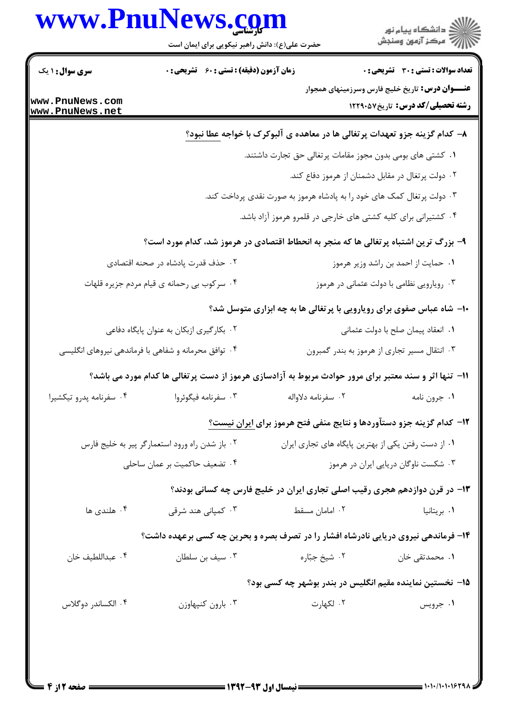|                                    | www.PnuNews.com<br>حضرت علی(ع): دانش راهبر نیکویی برای ایمان است                                      |                                                                              | الا دانشگاه پيام نور<br>   > مرکز آزمون وسنجش                                               |  |
|------------------------------------|-------------------------------------------------------------------------------------------------------|------------------------------------------------------------------------------|---------------------------------------------------------------------------------------------|--|
| <b>سری سوال : ۱ یک</b>             | زمان آزمون (دقیقه) : تستی : ۶۰٪ تشریحی : ۰                                                            |                                                                              | <b>تعداد سوالات : تستی : 30 ٪ تشریحی : 0</b>                                                |  |
| www.PnuNews.com<br>www.PnuNews.net |                                                                                                       |                                                                              | <b>عنـــوان درس:</b> تاریخ خلیج فارس وسرزمینهای همجوار<br>رشته تحصیلی/کد درس: تاریخ ۱۲۲۹۰۵۷ |  |
|                                    |                                                                                                       | ۸− کدام گزینه جزو تعهدات پرتغالی ها در معاهده ی آلبوکرک با خواجه عطا نبود؟   |                                                                                             |  |
|                                    |                                                                                                       | ۰۱ کشتی های بومی بدون مجوز مقامات پرتغالی حق تجارت داشتند.                   |                                                                                             |  |
|                                    |                                                                                                       |                                                                              | ۰۲ دولت پرتغال در مقابل دشمنان از هرموز دفاع کند.                                           |  |
|                                    |                                                                                                       | ۰۳ دولت پرتغال کمک های خود را به پادشاه هرموز به صورت نقدی پرداخت کند.       |                                                                                             |  |
|                                    |                                                                                                       | ۰۴ کشتیرانی برای کلیه کشتی های خارجی در قلمرو هرموز آزاد باشد.               |                                                                                             |  |
|                                    | ۹- بزرگ ترین اشتباه پرتغالی ها که منجر به انحطاط اقتصادی در هرموز شد، کدام مورد است؟                  |                                                                              |                                                                                             |  |
|                                    | ۰۲ حذف قدرت پادشاه در صحنه اقتصادی                                                                    |                                                                              | ۰۱ حمایت از احمد بن راشد وزیر هرموز                                                         |  |
|                                    | ۰۴ سرکوب بی رحمانه ی قیام مردم جزیره قلهات                                                            |                                                                              | ۰۳ رویارویی نظامی با دولت عثمانی در هرموز                                                   |  |
|                                    |                                                                                                       | <b>۰۱</b> - شاه عباس صفوی برای رویارویی با پرتغالی ها به چه ابزاری متوسل شد؟ |                                                                                             |  |
|                                    | ۰۲ بکارگیری ازبکان به عنوان پایگاه دفاعی                                                              | ٠١ انعقاد پيمان صلح با دولت عثماني                                           |                                                                                             |  |
|                                    | ۰۴ توافق محرمانه و شفاهی با فرماندهی نیروهای انگلیسی                                                  |                                                                              | ۰۳ انتقال مسیر تجاری از هرموز به بندر گمبرون                                                |  |
|                                    | 11– تنها اثر و سند معتبر برای مرور حوادث مربوط به آزادسازی هرموز از دست پرتغالی ها کدام مورد می باشد؟ |                                                                              |                                                                                             |  |
| ۰۴ سفرنامه پدرو تیکشیرا            | ۰۳ سفرنامه فیگوئروا                                                                                   | ۰۲ سفرنامه دلاواله                                                           | ٠١ جرون نامه                                                                                |  |
|                                    |                                                                                                       | ۱۲- کدام گزینه جزو دستآوردها و نتایج منفی فتح هرموز برای ایران نیست؟         |                                                                                             |  |
|                                    | ۰۲ باز شدن راه ورود استعمارگر پیر به خلیج فارس                                                        |                                                                              | ۰۱ از دست رفتن یکی از بهترین پایگاه های تجاری ایران                                         |  |
|                                    | ۰۴ تضعیف حاکمیت بر عمان ساحلی                                                                         | ۰۳ شکست ناوگان دریایی ایران در هرموز                                         |                                                                                             |  |
|                                    |                                                                                                       | ۱۳- در قرن دوازدهم هجری رقیب اصلی تجاری ایران در خلیج فارس چه کسانی بودند؟   |                                                                                             |  |
| ۰۴ هلندی ها                        | ۰۳ کمپانی هند شرقی                                                                                    | ۰۲ امامان مسقط                                                               | ۰۱ بریتانیا                                                                                 |  |
|                                    | ۱۴- فرماندهی نیروی دریایی نادرشاه افشار را در تصرف بصره و بحرین چه کسی برعهده داشت؟                   |                                                                              |                                                                                             |  |
| ۰۴ عبداللطيف خان                   | ۰۳ سیف بن سلطان                                                                                       | ۰۲ شیخ جبّاره                                                                | ۰۱ محمدتقی خان                                                                              |  |
|                                    |                                                                                                       | ۱۵– نخستین نماینده مقیم انگلیس در بندر بوشهر چه کسی بود؟                     |                                                                                             |  |
| ۰۴ الکساندر دوگلاس                 | ۰۳ بارون كنپهاوزن                                                                                     | ۰۲ لکهارت                                                                    | ۰۱ جرویس                                                                                    |  |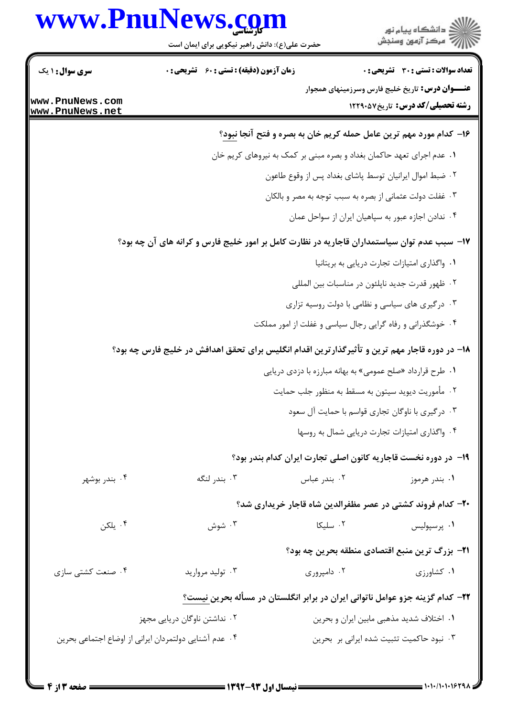## www.PnuNews.com

|                                    | www.PnuNews.com<br>حضرت علی(ع): دانش راهبر نیکویی برای ایمان است                              |                                                                            | ڪ دانشڪاه پيا <sub>م</sub> نور<br><mark>ر</mark> ⊽ مرڪز آزمون وسنڊش |
|------------------------------------|-----------------------------------------------------------------------------------------------|----------------------------------------------------------------------------|---------------------------------------------------------------------|
| <b>سری سوال :</b> ۱ یک             | <b>زمان آزمون (دقیقه) : تستی : 60 ٪ تشریحی : 0</b>                                            |                                                                            | <b>تعداد سوالات : تستی : 30 ٪ تشریحی : 0</b>                        |
| www.PnuNews.com<br>www.PnuNews.net |                                                                                               | <b>عنـــوان درس:</b> تاریخ خلیج فارس وسرزمینهای همجوار                     | <b>رشته تحصیلی/کد درس:</b> تاریخ1۲۲۹۰۵۷                             |
|                                    |                                                                                               | ۱۶– کدام مورد مهم ترین عامل حمله کریم خان به بصره و فتح آنجا <u>نبود</u> ؟ |                                                                     |
|                                    |                                                                                               | ۰۱ عدم اجرای تعهد حاکمان بغداد و بصره مبنی بر کمک به نیروهای کریم خان      |                                                                     |
|                                    |                                                                                               | ۰۲ ضبط اموال ایرانیان توسط پاشای بغداد پس از وقوع طاعون                    |                                                                     |
|                                    |                                                                                               | ۰۳ غفلت دولت عثمانی از بصره به سبب توجه به مصر و بالکان                    |                                                                     |
|                                    |                                                                                               | ۰۴ ندادن اجازه عبور به سپاهیان ایران از سواحل عمان                         |                                                                     |
|                                    | ۱۷– سبب عدم توان سیاستمداران قاجاریه در نظارت کامل بر امور خلیج فارس و کرانه های آن چه بود؟   |                                                                            |                                                                     |
|                                    |                                                                                               | ٠١ واگذارى امتيازات تجارت دريايي به بريتانيا                               |                                                                     |
|                                    |                                                                                               | ۰۲ ظهور قدرت جديد ناپلئون در مناسبات بين المللي                            |                                                                     |
|                                    |                                                                                               | ۰۳ درگیری های سیاسی و نظامی با دولت روسیه تزاری                            |                                                                     |
|                                    |                                                                                               | ۰۴ خوشگذرانی و رفاه گرایی رجال سیاسی و غفلت از امور مملکت                  |                                                                     |
|                                    | ۱۸– در دوره قاجار مهم ترین و تأثیرگذارترین اقدام انگلیس برای تحقق اهدافش در خلیج فارس چه بود؟ |                                                                            |                                                                     |
|                                    |                                                                                               | ۰۱ طرح قرارداد «صلح عمومی» به بهانه مبارزه با دزدی دریایی                  |                                                                     |
|                                    |                                                                                               | ۰۲ مأموريت ديويد سيتون به مسقط به منظور جلب حمايت                          |                                                                     |
|                                    |                                                                                               | ۰۳ درگیری با ناوگان تجاری قواسم با حمایت آل سعود                           |                                                                     |
|                                    |                                                                                               | ۰۴ واگذاری امتیازات تجارت دریایی شمال به روسها                             |                                                                     |
|                                    |                                                                                               | ۱۹- در دوره نخست قاجاریه کانون اصلی تجارت ایران کدام بندر بود؟             |                                                                     |
| ۰۴ بندر بوشهر                      | ۰۳ بندر لنگه                                                                                  | ۰۲ بندر عباس                                                               | ۰۱ بندر هرموز                                                       |
|                                    |                                                                                               | ۲۰– کدام فروند کشتی در عصر مظفرالدین شاه قاجار خریداری شد؟                 |                                                                     |
| ۰۴ يلکن                            | ۰۳ شوش                                                                                        | ۰۲ سلیکا                                                                   | ۰۱ پرسپولیس                                                         |
|                                    |                                                                                               | <b>۲۱</b> – بزرگ ترین منبع اقتصادی منطقه بحرین چه بود؟                     |                                                                     |
| ۰۴ صنعت کشتی سازی                  | ۰۳ تولید مروارید                                                                              | ۰۲ دامپروری                                                                | ۰۱ کشاورزی                                                          |
|                                    | <b>۲۲</b> – کدام گزینه جزو عوامل ناتوانی ایران در برابر انگلستان در مسأله بحرین نیست <u>؟</u> |                                                                            |                                                                     |
|                                    | ۰۲ نداشتن ناوگان دریایی مجهز                                                                  | ٠١. اختلاف شديد مذهبي مابين ايران و بحرين                                  |                                                                     |
|                                    | ۰۴ عدم آشنایی دولتمردان ایرانی از اوضاع اجتماعی بحرین                                         | ۰۳ نبود حاکمیت تثبیت شده ایرانی بر بحرین                                   |                                                                     |
|                                    |                                                                                               |                                                                            |                                                                     |